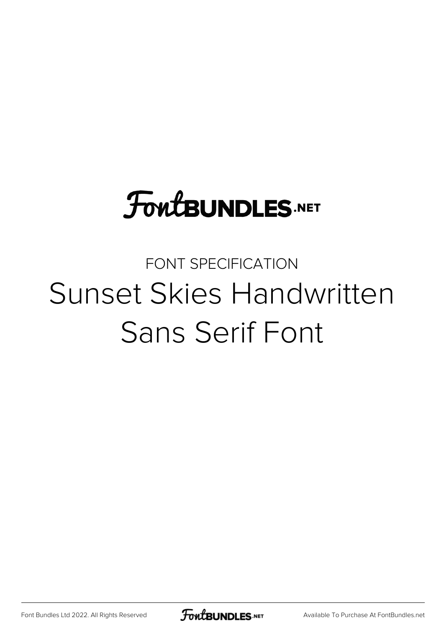# **FoutBUNDLES.NET**

## FONT SPECIFICATION Sunset Skies Handwritten Sans Serif Font

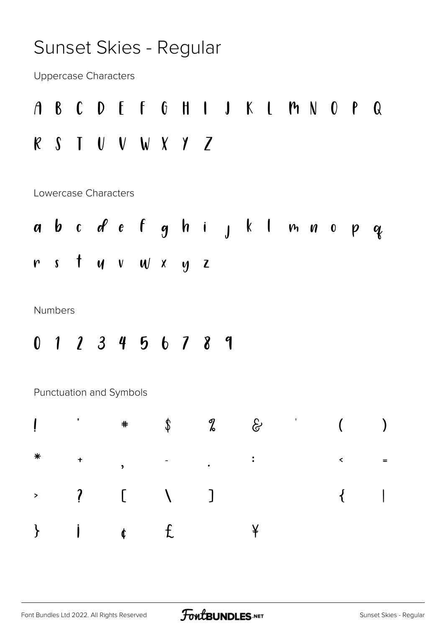#### Sunset Skies - Regular

**Uppercase Characters** 

$$
A \quad B \quad C \quad D \quad E \quad F \quad G \quad H \quad I \quad J \quad K \quad L \quad H \quad N \quad O \quad P \quad Q
$$
\n
$$
R \quad S \quad T \quad U \quad V \quad W \quad X \quad Y \quad Z
$$

Lowercase Characters

**Numbers** 

0 1 2 3 4 5 6 7 8 9

Punctuation and Symbols

|  |  |  | $\rightarrow$ it $\alpha$ if $\alpha$ if $\alpha$ |  |
|--|--|--|---------------------------------------------------|--|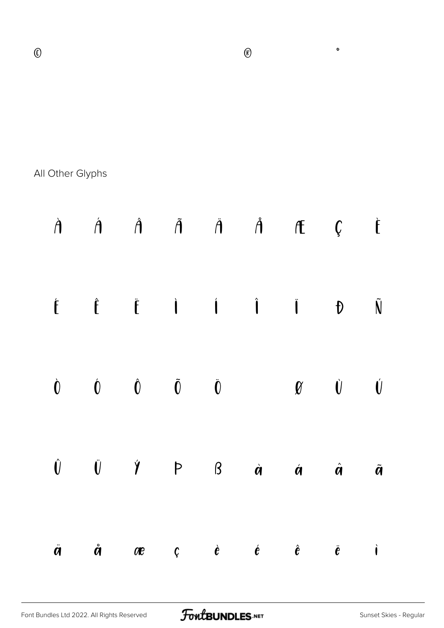|  | $\circ$ a $\alpha$ - $\circ$ |                                                | $\bullet$ | $\pm$         |
|--|------------------------------|------------------------------------------------|-----------|---------------|
|  |                              | $2 \quad 3 \quad 4 \quad \mu \quad \P \quad .$ |           | $1 \t 0$      |
|  |                              | $\frac{1}{4}$ $\frac{1}{2}$                    |           | $\frac{3}{4}$ |

All Other Glyphs

|                         | $\dot{A}$ $\dot{A}$ $\ddot{A}$ $\ddot{A}$ $\dot{A}$ $\ddot{A}$ $\bf{f}$ $\bf{c}$ $\dot{C}$                                                                                                 |  |  |  |
|-------------------------|--------------------------------------------------------------------------------------------------------------------------------------------------------------------------------------------|--|--|--|
|                         | $\begin{array}{ccccccccccccccccc} \hat{E} & \hat{E} & \hat{E} & \hat{I} & \hat{I} & \hat{I} & \hat{I} & \hat{I} & \hat{N} \end{array}$                                                     |  |  |  |
|                         | $\begin{array}{ccccccccccccccccc} \dot{0} && 0 && \dot{0} && \dot{0} && \dot{0} && \mathbf{v} && \dot{0} & \dot{0} \end{array}$                                                            |  |  |  |
|                         | $\begin{matrix} \hat{\mathsf{U}} & \hat{\mathsf{U}} & \hat{\mathsf{Y}} & \mathsf{P} & \mathsf{B} & \hat{\mathsf{a}} & \hat{\mathsf{a}} & \hat{\mathsf{a}} & \hat{\mathsf{a}} \end{matrix}$ |  |  |  |
| $\ddot{\boldsymbol{q}}$ | $\mathring{a}$ are $\mathring{c}$ $\mathring{e}$ $\mathring{e}$ $\mathring{e}$ $\mathring{e}$ $\mathring{e}$ $\mathring{e}$                                                                |  |  |  |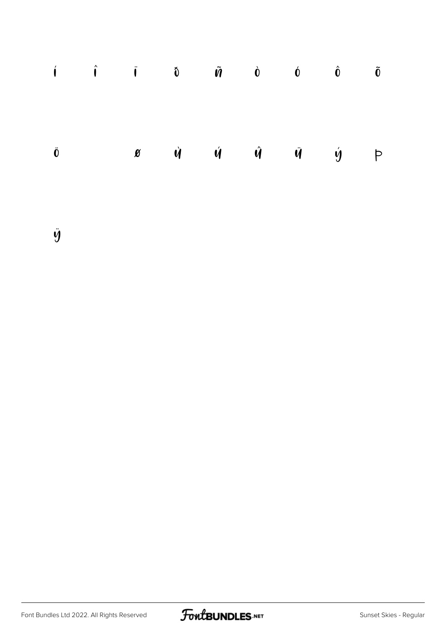|  |  |  | $\hat{\mathbf{i}}$ $\hat{\mathbf{i}}$ $\hat{\mathbf{i}}$ $\hat{\mathbf{0}}$ $\hat{\mathbf{0}}$ $\hat{\mathbf{0}}$ $\hat{\mathbf{0}}$ $\hat{\mathbf{0}}$ $\hat{\mathbf{0}}$ $\hat{\mathbf{0}}$ |  |
|--|--|--|-----------------------------------------------------------------------------------------------------------------------------------------------------------------------------------------------|--|
|  |  |  |                                                                                                                                                                                               |  |
|  |  |  |                                                                                                                                                                                               |  |
|  |  |  | $\ddot{\mathbf{0}}$ $\frac{1}{n}$ $\mathbf{\alpha}$ $\dot{\mathbf{u}}$ $\dot{\mathbf{u}}$ $\dot{\mathbf{u}}$ $\dot{\mathbf{u}}$ $\dot{\mathbf{u}}$ $\dot{\mathbf{y}}$ $\mathbf{p}$            |  |
|  |  |  |                                                                                                                                                                                               |  |
|  |  |  |                                                                                                                                                                                               |  |

ÿ

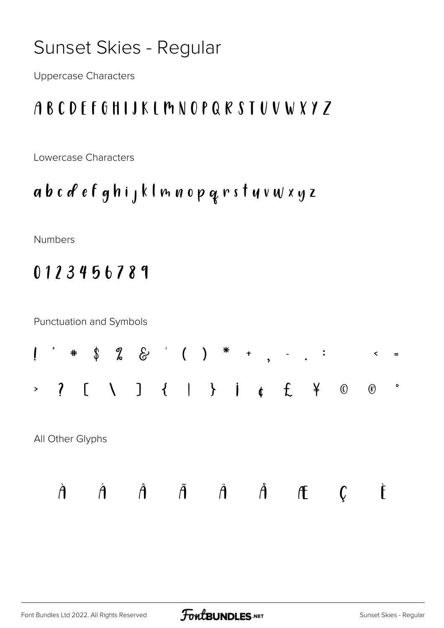### Sunset Skies - Regular

**Uppercase Characters** 

#### ABCDFFGHIJKLMNOPQRSTUVWXYZ

Lowercase Characters

abcdefghijklmnopqrstuvwxyz

Numbers

#### 0123456789

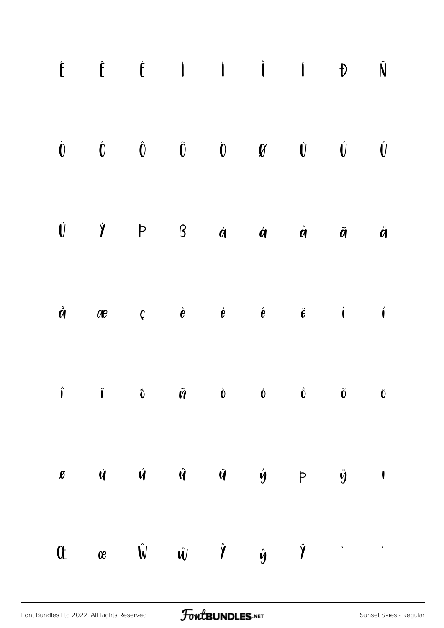| $\begin{array}{ccccccccccccccccc} \hat{E} & \hat{E} & \hat{E} & \hat{I} & \hat{I} & \hat{I} & \hat{I} & \hat{I} & \hat{I} & \hat{N} \end{array}$                                                                                                                                                                                                                                                                                                                                                                    |  |  |  |  |
|---------------------------------------------------------------------------------------------------------------------------------------------------------------------------------------------------------------------------------------------------------------------------------------------------------------------------------------------------------------------------------------------------------------------------------------------------------------------------------------------------------------------|--|--|--|--|
| $\begin{array}{ccccccccccccccccc} \hat{\mathbf{O}} && \hat{\mathbf{O}} && \hat{\mathbf{O}} && \hat{\mathbf{O}} && \hat{\mathbf{O}} && \hat{\mathbf{O}} && \hat{\mathbf{O}} && \hat{\mathbf{O}} && \hat{\mathbf{O}} && \hat{\mathbf{O}} && \hat{\mathbf{O}} && \hat{\mathbf{O}} && \hat{\mathbf{O}} && \hat{\mathbf{O}} && \hat{\mathbf{O}} && \hat{\mathbf{O}} && \hat{\mathbf{O}} && \hat{\mathbf{O}} && \hat{\mathbf{O}} && \hat{\mathbf{O}} && \hat{\mathbf{O}} && \hat{\mathbf{O}} && \hat{\mathbf{O}} && \hat$ |  |  |  |  |
| $\begin{array}{ccccccccccccccccccccc} \vline V & & \vline \gamma & & & \mathsf{P} & & \mathsf{B} & & \dot{\alpha} & & \dot{\alpha} & & \dot{\alpha} & & \dot{\alpha} & & \dot{\alpha} \end{array}$                                                                                                                                                                                                                                                                                                                  |  |  |  |  |
| $\dot{a}$ are $c$ $\dot{e}$ $\dot{e}$ $\dot{e}$ $\ddot{e}$ $\ddot{e}$ $\dot{e}$ $\dot{e}$                                                                                                                                                                                                                                                                                                                                                                                                                           |  |  |  |  |
| $\hat{\mathbf{i}}$ i $\hat{\mathbf{0}}$ $\tilde{\mathbf{w}}$ $\hat{\mathbf{0}}$ $\hat{\mathbf{0}}$ $\hat{\mathbf{0}}$ $\tilde{\mathbf{0}}$ $\tilde{\mathbf{0}}$ $\tilde{\mathbf{0}}$                                                                                                                                                                                                                                                                                                                                |  |  |  |  |
| $\mathscr{B}$ $\dot{\mathscr{C}}$ $\dot{\mathscr{C}}$ $\dot{\mathscr{C}}$ $\dot{\mathscr{C}}$ $\dot{\mathscr{C}}$ $\dot{\mathscr{C}}$ $\dot{\mathscr{C}}$ $\dot{\mathscr{C}}$ $\dot{\mathscr{C}}$ $\dot{\mathscr{C}}$ $\dot{\mathscr{C}}$ $\dot{\mathscr{C}}$ $\dot{\mathscr{C}}$ $\dot{\mathscr{C}}$ $\dot{\mathscr{C}}$ $\dot{\mathscr{C}}$ $\dot{\mathscr{C}}$ $\dot{\mathscr{C}}$ $\dot{\mathscr{C}}$ $\dot$                                                                                                    |  |  |  |  |
| Of a $\hat{\mathsf{w}}$ $\hat{\mathsf{w}}$ $\hat{\mathsf{w}}$ $\hat{\mathsf{y}}$ $\hat{\mathsf{y}}$ $\hat{\mathsf{y}}$                                                                                                                                                                                                                                                                                                                                                                                              |  |  |  |  |